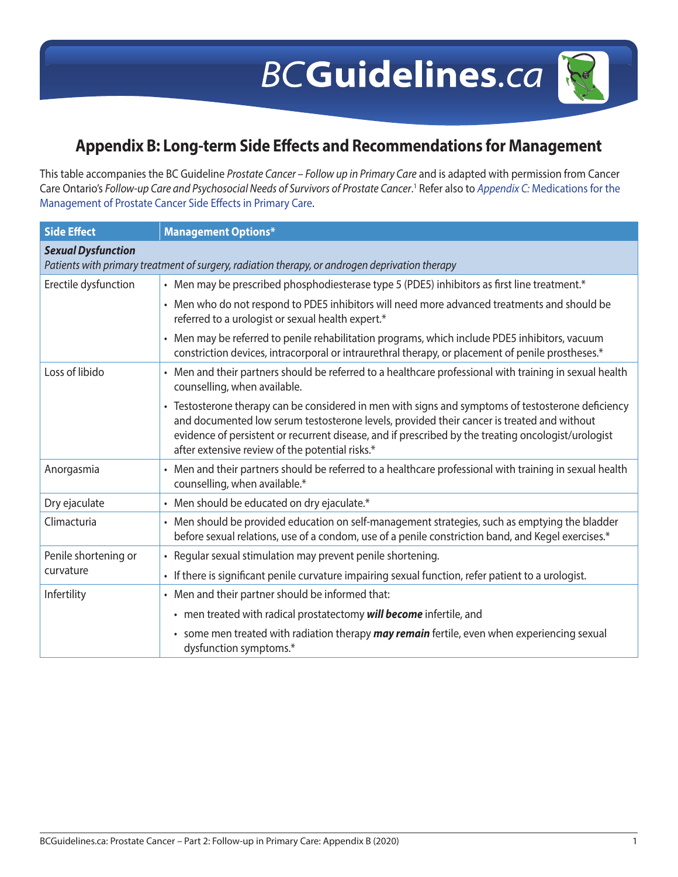## **Appendix B: Long-term Side Effects and Recommendations for Management**

This table accompanies the BC Guideline *Prostate Cancer – Follow up in Primary Care* and is adapted with permission from Cancer Care Ontario's *Follow-up Care and Psychosocial Needs of Survivors of Prostate Cancer*. 1 Refer also to *Appendix C:* [Medications for the](#page--1-0)  [Management of Prostate Cancer Side Effects in Primary Care](#page--1-0).

| <b>Side Effect</b>                                                                             | <b>Management Options*</b>                                                                                                                                                                                                                                                                                                                                 |  |
|------------------------------------------------------------------------------------------------|------------------------------------------------------------------------------------------------------------------------------------------------------------------------------------------------------------------------------------------------------------------------------------------------------------------------------------------------------------|--|
| <b>Sexual Dysfunction</b>                                                                      |                                                                                                                                                                                                                                                                                                                                                            |  |
| Patients with primary treatment of surgery, radiation therapy, or androgen deprivation therapy |                                                                                                                                                                                                                                                                                                                                                            |  |
| Erectile dysfunction                                                                           | • Men may be prescribed phosphodiesterase type 5 (PDE5) inhibitors as first line treatment.*                                                                                                                                                                                                                                                               |  |
|                                                                                                | • Men who do not respond to PDE5 inhibitors will need more advanced treatments and should be<br>referred to a urologist or sexual health expert.*                                                                                                                                                                                                          |  |
|                                                                                                | • Men may be referred to penile rehabilitation programs, which include PDE5 inhibitors, vacuum<br>constriction devices, intracorporal or intraurethral therapy, or placement of penile prostheses.*                                                                                                                                                        |  |
| Loss of libido                                                                                 | • Men and their partners should be referred to a healthcare professional with training in sexual health<br>counselling, when available.                                                                                                                                                                                                                    |  |
|                                                                                                | • Testosterone therapy can be considered in men with signs and symptoms of testosterone deficiency<br>and documented low serum testosterone levels, provided their cancer is treated and without<br>evidence of persistent or recurrent disease, and if prescribed by the treating oncologist/urologist<br>after extensive review of the potential risks.* |  |
| Anorgasmia                                                                                     | • Men and their partners should be referred to a healthcare professional with training in sexual health<br>counselling, when available.*                                                                                                                                                                                                                   |  |
| Dry ejaculate                                                                                  | • Men should be educated on dry ejaculate.*                                                                                                                                                                                                                                                                                                                |  |
| Climacturia                                                                                    | • Men should be provided education on self-management strategies, such as emptying the bladder<br>before sexual relations, use of a condom, use of a penile constriction band, and Kegel exercises.*                                                                                                                                                       |  |
| Penile shortening or<br>curvature                                                              | • Regular sexual stimulation may prevent penile shortening.                                                                                                                                                                                                                                                                                                |  |
|                                                                                                | · If there is significant penile curvature impairing sexual function, refer patient to a urologist.                                                                                                                                                                                                                                                        |  |
| Infertility                                                                                    | • Men and their partner should be informed that:                                                                                                                                                                                                                                                                                                           |  |
|                                                                                                | • men treated with radical prostatectomy will become infertile, and                                                                                                                                                                                                                                                                                        |  |
|                                                                                                | • some men treated with radiation therapy <i>may remain</i> fertile, even when experiencing sexual<br>dysfunction symptoms.*                                                                                                                                                                                                                               |  |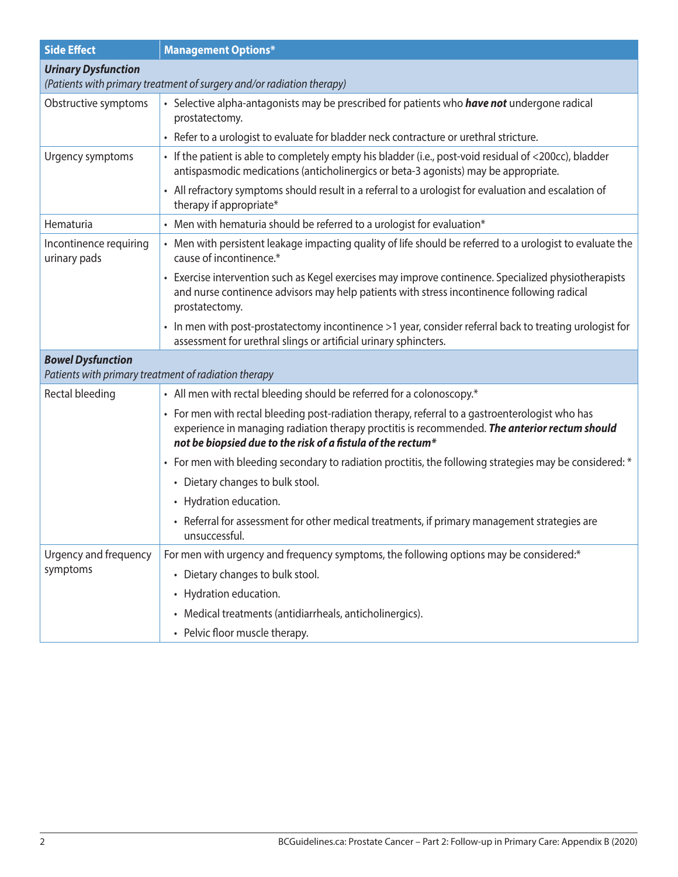| <b>Side Effect</b>                                                    | <b>Management Options*</b>                                                                                                                                                                                                                                      |  |
|-----------------------------------------------------------------------|-----------------------------------------------------------------------------------------------------------------------------------------------------------------------------------------------------------------------------------------------------------------|--|
| <b>Urinary Dysfunction</b>                                            |                                                                                                                                                                                                                                                                 |  |
| (Patients with primary treatment of surgery and/or radiation therapy) |                                                                                                                                                                                                                                                                 |  |
| Obstructive symptoms                                                  | • Selective alpha-antagonists may be prescribed for patients who <i>have not</i> undergone radical<br>prostatectomy.                                                                                                                                            |  |
|                                                                       | • Refer to a urologist to evaluate for bladder neck contracture or urethral stricture.                                                                                                                                                                          |  |
| Urgency symptoms                                                      | • If the patient is able to completely empty his bladder (i.e., post-void residual of <200cc), bladder<br>antispasmodic medications (anticholinergics or beta-3 agonists) may be appropriate.                                                                   |  |
|                                                                       | • All refractory symptoms should result in a referral to a urologist for evaluation and escalation of<br>therapy if appropriate*                                                                                                                                |  |
| Hematuria                                                             | • Men with hematuria should be referred to a urologist for evaluation*                                                                                                                                                                                          |  |
| Incontinence requiring<br>urinary pads                                | • Men with persistent leakage impacting quality of life should be referred to a urologist to evaluate the<br>cause of incontinence.*                                                                                                                            |  |
|                                                                       | • Exercise intervention such as Kegel exercises may improve continence. Specialized physiotherapists<br>and nurse continence advisors may help patients with stress incontinence following radical<br>prostatectomy.                                            |  |
|                                                                       | • In men with post-prostatectomy incontinence >1 year, consider referral back to treating urologist for<br>assessment for urethral slings or artificial urinary sphincters.                                                                                     |  |
| <b>Bowel Dysfunction</b>                                              |                                                                                                                                                                                                                                                                 |  |
| Patients with primary treatment of radiation therapy                  |                                                                                                                                                                                                                                                                 |  |
| Rectal bleeding                                                       | • All men with rectal bleeding should be referred for a colonoscopy.*                                                                                                                                                                                           |  |
|                                                                       | • For men with rectal bleeding post-radiation therapy, referral to a gastroenterologist who has<br>experience in managing radiation therapy proctitis is recommended. The anterior rectum should<br>not be biopsied due to the risk of a fistula of the rectum* |  |
|                                                                       | • For men with bleeding secondary to radiation proctitis, the following strategies may be considered: *                                                                                                                                                         |  |
|                                                                       | • Dietary changes to bulk stool.                                                                                                                                                                                                                                |  |
|                                                                       | • Hydration education.                                                                                                                                                                                                                                          |  |
|                                                                       | • Referral for assessment for other medical treatments, if primary management strategies are<br>unsuccessful.                                                                                                                                                   |  |
| Urgency and frequency                                                 | For men with urgency and frequency symptoms, the following options may be considered:*                                                                                                                                                                          |  |
| symptoms                                                              | • Dietary changes to bulk stool.                                                                                                                                                                                                                                |  |
|                                                                       | • Hydration education.                                                                                                                                                                                                                                          |  |
|                                                                       | • Medical treatments (antidiarrheals, anticholinergics).                                                                                                                                                                                                        |  |
|                                                                       | • Pelvic floor muscle therapy.                                                                                                                                                                                                                                  |  |